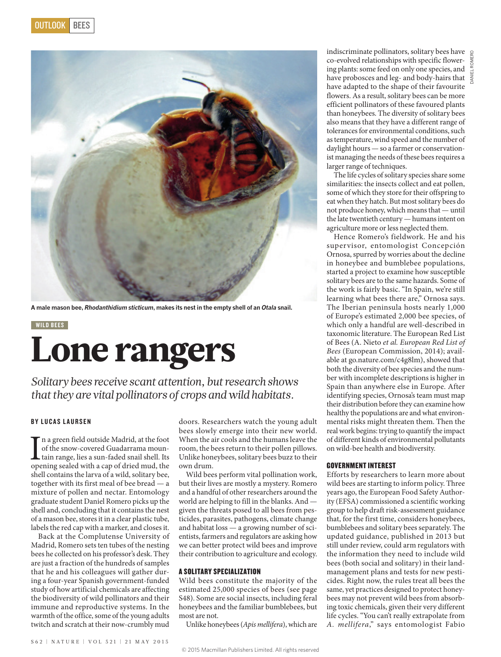



**A male mason bee,** *Rhodanthidium sticticum***, makes its nest in the empty shell of an** *Otala* **snail.**

## WILD BEES

# Lone rangers

*Solitary bees receive scant attention, but research shows that they are vital pollinators of crops and wild habitats.*

## BY LUCAS LAURSEN

I<sub>ope</sub> n a green field outside Madrid, at the foot of the snow-covered Guadarrama mountain range, lies a sun-faded snail shell. Its opening sealed with a cap of dried mud, the shell contains the larva of a wild, solitary bee, together with its first meal of bee bread — a mixture of pollen and nectar. Entomology graduate student Daniel Romero picks up the shell and, concluding that it contains the nest of a mason bee, stores it in a clear plastic tube, labels the red cap with a marker, and closes it.

Back at the Complutense University of Madrid, Romero sets ten tubes of the nesting bees he collected on his professor's desk. They are just a fraction of the hundreds of samples that he and his colleagues will gather during a four-year Spanish government-funded study of how artificial chemicals are affecting the biodiversity of wild pollinators and their immune and reproductive systems. In the warmth of the office, some of the young adults twitch and scratch at their now-crumbly mud

doors. Researchers watch the young adult bees slowly emerge into their new world. When the air cools and the humans leave the room, the bees return to their pollen pillows. Unlike honeybees, solitary bees buzz to their own drum.

Wild bees perform vital pollination work, but their lives are mostly a mystery. Romero and a handful of other researchers around the world are helping to fill in the blanks. And given the threats posed to all bees from pesticides, parasites, pathogens, climate change and habitat loss — a growing number of scientists, farmers and regulators are asking how we can better protect wild bees and improve their contribution to agriculture and ecology.

#### A SOLITARY SPECIALIZATION

Wild bees constitute the majority of the estimated 25,000 species of bees (see page S48). Some are social insects, including feral honeybees and the familiar bumblebees, but most are not.

Unlike honeybees (*Apis mellifera*), which are

indiscriminate pollinators, solitary bees have co-evolved relationships with specific flowering plants: some feed on only one species, and have probosces and leg- and body-hairs that have adapted to the shape of their favourite flowers. As a result, solitary bees can be more efficient pollinators of these favoured plants than honeybees. The diversity of solitary bees also means that they have a different range of tolerances for environmental conditions, such as temperature, wind speed and the number of daylight hours — so a farmer or conservationist managing the needs of these bees requires a larger range of techniques.

The life cycles of solitary species share some similarities: the insects collect and eat pollen, some of which they store for their offspring to eat when they hatch. But most solitary bees do not produce honey, which means that — until the late twentieth century — humans intent on agriculture more or less neglected them.

Hence Romero's fieldwork. He and his supervisor, entomologist Concepción Ornosa, spurred by worries about the decline in honeybee and bumblebee populations, started a project to examine how susceptible solitary bees are to the same hazards. Some of the work is fairly basic. "In Spain, we're still learning what bees there are," Ornosa says. The Iberian peninsula hosts nearly 1,000 of Europe's estimated 2,000 bee species, of which only a handful are well-described in taxonomic literature. The European Red List of Bees (A. Nieto *et al. European Red List of Bees* (European Commission, 2014); available at go.nature.com/c4g8lm), showed that both the diversity of bee species and the number with incomplete descriptions is higher in Spain than anywhere else in Europe. After identifying species, Ornosa's team must map their distribution before they can examine how healthy the populations are and what environmental risks might threaten them. Then the real work begins: trying to quantify the impact of different kinds of environmental pollutants on wild-bee health and biodiversity.

#### GOVERNMENT INTEREST

Efforts by researchers to learn more about wild bees are starting to inform policy. Three years ago, the European Food Safety Authority (EFSA) commissioned a scientific working group to help draft risk-assessment guidance that, for the first time, considers honeybees, bumblebees and solitary bees separately. The updated guidance, published in 2013 but still under review, could arm regulators with the information they need to include wild bees (both social and solitary) in their landmanagement plans and tests for new pesticides. Right now, the rules treat all bees the same, yet practices designed to protect honeybees may not prevent wild bees from absorbing toxic chemicals, given their very different life cycles. "You can't really extrapolate from *A. mellifera*," says entomologist Fabio